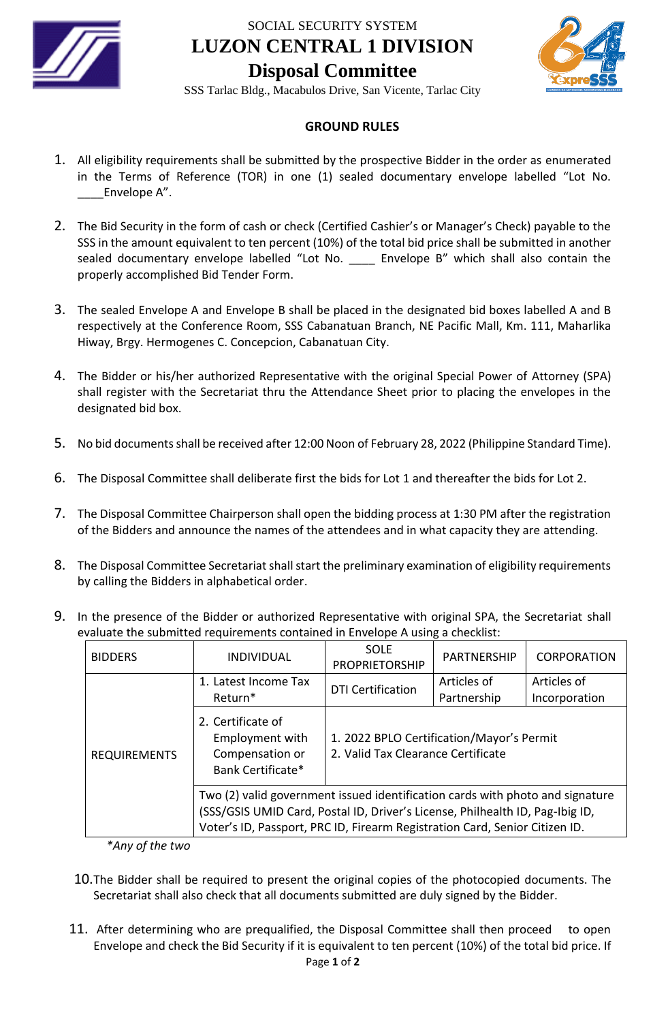

SOCIAL SECURITY SYSTEM **LUZON CENTRAL 1 DIVISION Disposal Committee**



SSS Tarlac Bldg., Macabulos Drive, San Vicente, Tarlac City

## **GROUND RULES**

- 1. All eligibility requirements shall be submitted by the prospective Bidder in the order as enumerated in the Terms of Reference (TOR) in one (1) sealed documentary envelope labelled "Lot No. Envelope A".
- 2. The Bid Security in the form of cash or check (Certified Cashier's or Manager's Check) payable to the SSS in the amount equivalent to ten percent (10%) of the total bid price shall be submitted in another sealed documentary envelope labelled "Lot No. \_\_\_\_ Envelope B" which shall also contain the properly accomplished Bid Tender Form.
- 3. The sealed Envelope A and Envelope B shall be placed in the designated bid boxes labelled A and B respectively at the Conference Room, SSS Cabanatuan Branch, NE Pacific Mall, Km. 111, Maharlika Hiway, Brgy. Hermogenes C. Concepcion, Cabanatuan City.
- 4. The Bidder or his/her authorized Representative with the original Special Power of Attorney (SPA) shall register with the Secretariat thru the Attendance Sheet prior to placing the envelopes in the designated bid box.
- 5. No bid documents shall be received after 12:00 Noon of February 28, 2022 (Philippine Standard Time).
- 6. The Disposal Committee shall deliberate first the bids for Lot 1 and thereafter the bids for Lot 2.
- 7. The Disposal Committee Chairperson shall open the bidding process at 1:30 PM after the registration of the Bidders and announce the names of the attendees and in what capacity they are attending.
- 8. The Disposal Committee Secretariat shall start the preliminary examination of eligibility requirements by calling the Bidders in alphabetical order.
- 9. In the presence of the Bidder or authorized Representative with original SPA, the Secretariat shall evaluate the submitted requirements contained in Envelope A using a checklist:

| <b>BIDDERS</b>      | <i><b>INDIVIDUAL</b></i>                                                                                                                                                                                                                      | <b>SOLE</b><br>PROPRIETORSHIP                                                   | PARTNERSHIP                | <b>CORPORATION</b>           |
|---------------------|-----------------------------------------------------------------------------------------------------------------------------------------------------------------------------------------------------------------------------------------------|---------------------------------------------------------------------------------|----------------------------|------------------------------|
| <b>REQUIREMENTS</b> | 1. Latest Income Tax<br>Return*                                                                                                                                                                                                               | <b>DTI Certification</b>                                                        | Articles of<br>Partnership | Articles of<br>Incorporation |
|                     | 2. Certificate of<br>Employment with<br>Compensation or<br>Bank Certificate*                                                                                                                                                                  | 1. 2022 BPLO Certification/Mayor's Permit<br>2. Valid Tax Clearance Certificate |                            |                              |
|                     | Two (2) valid government issued identification cards with photo and signature<br>(SSS/GSIS UMID Card, Postal ID, Driver's License, Philhealth ID, Pag-Ibig ID,<br>Voter's ID, Passport, PRC ID, Firearm Registration Card, Senior Citizen ID. |                                                                                 |                            |                              |

*\*Any of the two*

- 10.The Bidder shall be required to present the original copies of the photocopied documents. The Secretariat shall also check that all documents submitted are duly signed by the Bidder.
- Page **1** of **2** 11. After determining who are prequalified, the Disposal Committee shall then proceed to open Envelope and check the Bid Security if it is equivalent to ten percent (10%) of the total bid price. If